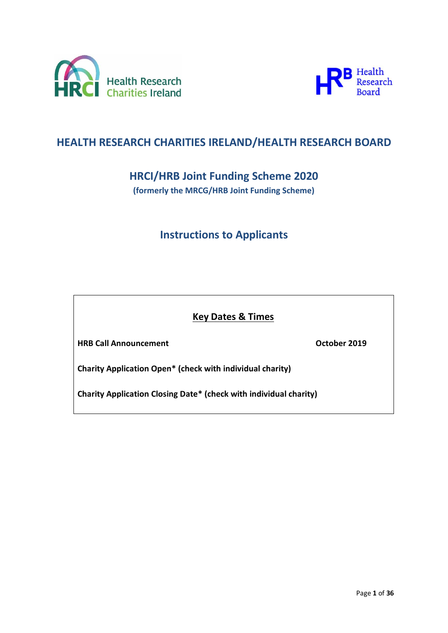



# **HEALTH RESEARCH CHARITIES IRELAND/HEALTH RESEARCH BOARD**

# **HRCI/HRB Joint Funding Scheme 2020**

**(formerly the MRCG/HRB Joint Funding Scheme)**

# **Instructions to Applicants**

## **Key Dates & Times**

**HRB Call Announcement October 2019**

**Charity Application Open\* (check with individual charity)** 

**Charity Application Closing Date\* (check with individual charity)**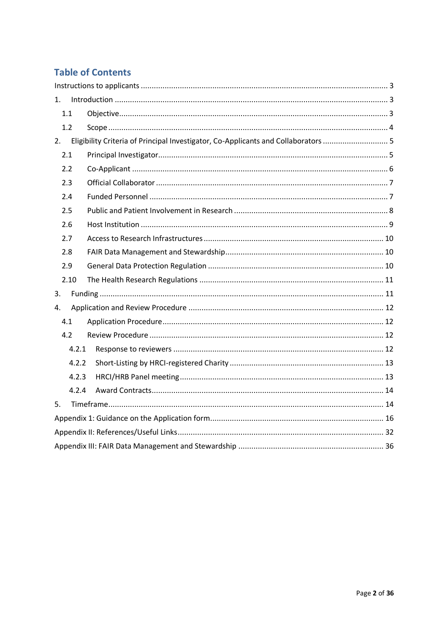# **Table of Contents**

| 1. |       |                                                                                    |  |  |
|----|-------|------------------------------------------------------------------------------------|--|--|
|    | 1.1   |                                                                                    |  |  |
|    | 1.2   |                                                                                    |  |  |
| 2. |       | Eligibility Criteria of Principal Investigator, Co-Applicants and Collaborators  5 |  |  |
|    | 2.1   |                                                                                    |  |  |
|    | 2.2   |                                                                                    |  |  |
|    | 2.3   |                                                                                    |  |  |
|    | 2.4   |                                                                                    |  |  |
|    | 2.5   |                                                                                    |  |  |
|    | 2.6   |                                                                                    |  |  |
|    | 2.7   |                                                                                    |  |  |
|    | 2.8   |                                                                                    |  |  |
|    | 2.9   |                                                                                    |  |  |
|    | 2.10  |                                                                                    |  |  |
| 3. |       |                                                                                    |  |  |
| 4. |       |                                                                                    |  |  |
|    | 4.1   |                                                                                    |  |  |
|    | 4.2   |                                                                                    |  |  |
|    | 4.2.1 |                                                                                    |  |  |
|    | 4.2.2 |                                                                                    |  |  |
|    | 4.2.3 |                                                                                    |  |  |
|    | 4.2.4 |                                                                                    |  |  |
| 5. |       |                                                                                    |  |  |
|    |       |                                                                                    |  |  |
|    |       |                                                                                    |  |  |
|    |       |                                                                                    |  |  |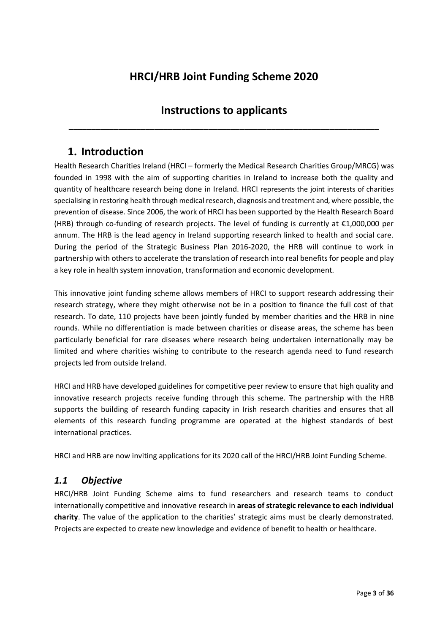# **HRCI/HRB Joint Funding Scheme 2020**

# **Instructions to applicants**

<span id="page-2-0"></span>**\_\_\_\_\_\_\_\_\_\_\_\_\_\_\_\_\_\_\_\_\_\_\_\_\_\_\_\_\_\_\_\_\_\_\_\_\_\_\_\_\_\_\_\_\_\_\_\_\_\_\_\_\_\_\_\_\_\_\_\_\_\_\_\_\_\_\_\_\_**

# <span id="page-2-1"></span>**1. Introduction**

Health Research Charities Ireland (HRCI – formerly the Medical Research Charities Group/MRCG) was founded in 1998 with the aim of supporting charities in Ireland to increase both the quality and quantity of healthcare research being done in Ireland. HRCI represents the joint interests of charities specialising in restoring health through medical research, diagnosis and treatment and, where possible, the prevention of disease. Since 2006, the work of HRCI has been supported by the Health Research Board (HRB) through co-funding of research projects. The level of funding is currently at €1,000,000 per annum. The HRB is the lead agency in Ireland supporting research linked to health and social care. During the period of the Strategic Business Plan 2016-2020, the HRB will continue to work in partnership with others to accelerate the translation of research into real benefits for people and play a key role in health system innovation, transformation and economic development.

This innovative joint funding scheme allows members of HRCI to support research addressing their research strategy, where they might otherwise not be in a position to finance the full cost of that research. To date, 110 projects have been jointly funded by member charities and the HRB in nine rounds. While no differentiation is made between charities or disease areas, the scheme has been particularly beneficial for rare diseases where research being undertaken internationally may be limited and where charities wishing to contribute to the research agenda need to fund research projects led from outside Ireland.

HRCI and HRB have developed guidelines for competitive peer review to ensure that high quality and innovative research projects receive funding through this scheme. The partnership with the HRB supports the building of research funding capacity in Irish research charities and ensures that all elements of this research funding programme are operated at the highest standards of best international practices.

HRCI and HRB are now inviting applications for its 2020 call of the HRCI/HRB Joint Funding Scheme.

## <span id="page-2-2"></span>*1.1 Objective*

HRCI/HRB Joint Funding Scheme aims to fund researchers and research teams to conduct internationally competitive and innovative research in **areas of strategic relevance to each individual charity**. The value of the application to the charities' strategic aims must be clearly demonstrated. Projects are expected to create new knowledge and evidence of benefit to health or healthcare.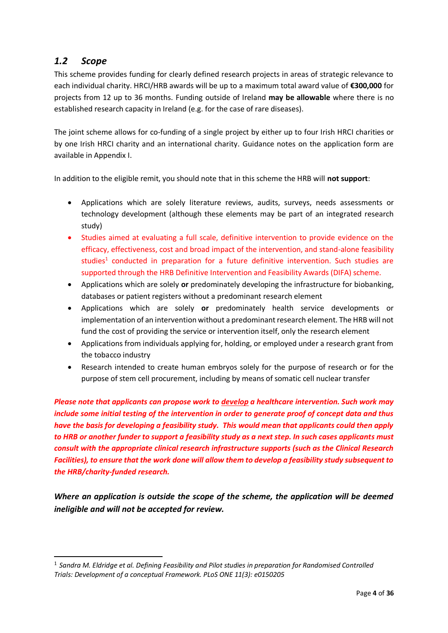## <span id="page-3-0"></span>*1.2 Scope*

-

This scheme provides funding for clearly defined research projects in areas of strategic relevance to each individual charity. HRCI/HRB awards will be up to a maximum total award value of **€300,000** for projects from 12 up to 36 months. Funding outside of Ireland **may be allowable** where there is no established research capacity in Ireland (e.g. for the case of rare diseases).

The joint scheme allows for co-funding of a single project by either up to four Irish HRCI charities or by one Irish HRCI charity and an international charity. Guidance notes on the application form are available in Appendix I.

In addition to the eligible remit, you should note that in this scheme the HRB will **not support**:

- Applications which are solely literature reviews, audits, surveys, needs assessments or technology development (although these elements may be part of an integrated research study)
- Studies aimed at evaluating a full scale, definitive intervention to provide evidence on the efficacy, effectiveness, cost and broad impact of the intervention, and stand-alone feasibility studies<sup>1</sup> conducted in preparation for a future definitive intervention. Such studies are supported through the HRB Definitive Intervention and Feasibility Awards (DIFA) scheme.
- Applications which are solely **or** predominately developing the infrastructure for biobanking, databases or patient registers without a predominant research element
- Applications which are solely **or** predominately health service developments or implementation of an intervention without a predominant research element. The HRB will not fund the cost of providing the service or intervention itself, only the research element
- Applications from individuals applying for, holding, or employed under a research grant from the tobacco industry
- Research intended to create human embryos solely for the purpose of research or for the purpose of stem cell procurement, including by means of somatic cell nuclear transfer

*Please note that applicants can propose work to develop a healthcare intervention. Such work may include some initial testing of the intervention in order to generate proof of concept data and thus have the basis for developing a feasibility study. This would mean that applicants could then apply to HRB or another funder to support a feasibility study as a next step. In such cases applicants must consult with the appropriate clinical research infrastructure supports (such as the Clinical Research Facilities), to ensure that the work done will allow them to develop a feasibility study subsequent to the HRB/charity-funded research.* 

*Where an application is outside the scope of the scheme, the application will be deemed ineligible and will not be accepted for review.* 

<sup>&</sup>lt;sup>1</sup> Sandra M. Eldridge et al. Defining Feasibility and Pilot studies in preparation for Randomised Controlled *Trials: Development of a conceptual Framework. PLoS ONE 11(3): e0150205*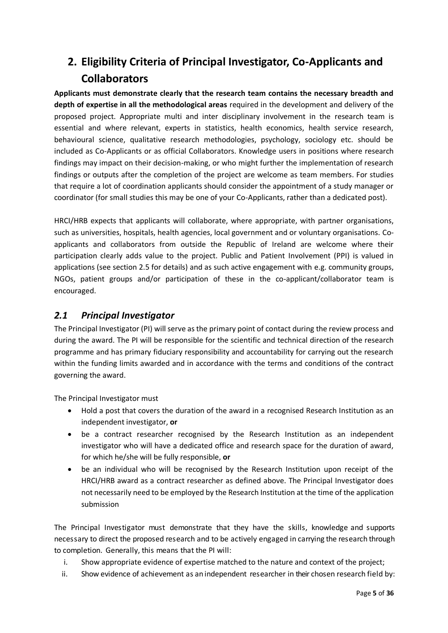# <span id="page-4-0"></span>**2. Eligibility Criteria of Principal Investigator, Co-Applicants and Collaborators**

**Applicants must demonstrate clearly that the research team contains the necessary breadth and depth of expertise in all the methodological areas** required in the development and delivery of the proposed project. Appropriate multi and inter disciplinary involvement in the research team is essential and where relevant, experts in statistics, health economics, health service research, behavioural science, qualitative research methodologies, psychology, sociology etc. should be included as Co-Applicants or as official Collaborators. Knowledge users in positions where research findings may impact on their decision-making, or who might further the implementation of research findings or outputs after the completion of the project are welcome as team members. For studies that require a lot of coordination applicants should consider the appointment of a study manager or coordinator (for small studies this may be one of your Co-Applicants, rather than a dedicated post).

HRCI/HRB expects that applicants will collaborate, where appropriate, with partner organisations, such as universities, hospitals, health agencies, local government and or voluntary organisations. Coapplicants and collaborators from outside the Republic of Ireland are welcome where their participation clearly adds value to the project. Public and Patient Involvement (PPI) is valued in applications (see section 2.5 for details) and as such active engagement with e.g. community groups, NGOs, patient groups and/or participation of these in the co-applicant/collaborator team is encouraged.

## <span id="page-4-1"></span>*2.1 Principal Investigator*

The Principal Investigator (PI) will serve as the primary point of contact during the review process and during the award. The PI will be responsible for the scientific and technical direction of the research programme and has primary fiduciary responsibility and accountability for carrying out the research within the funding limits awarded and in accordance with the terms and conditions of the contract governing the award.

The Principal Investigator must

- Hold a post that covers the duration of the award in a recognised Research Institution as an independent investigator, **or**
- be a contract researcher recognised by the Research Institution as an independent investigator who will have a dedicated office and research space for the duration of award, for which he/she will be fully responsible, **or**
- be an individual who will be recognised by the Research Institution upon receipt of the HRCI/HRB award as a contract researcher as defined above. The Principal Investigator does not necessarily need to be employed by the Research Institution at the time of the application submission

The Principal Investigator must demonstrate that they have the skills, knowledge and supports necessary to direct the proposed research and to be actively engaged in carrying the research through to completion. Generally, this means that the PI will:

- i. Show appropriate evidence of expertise matched to the nature and context of the project;
- ii. Show evidence of achievement as an independent researcher in their chosen research field by: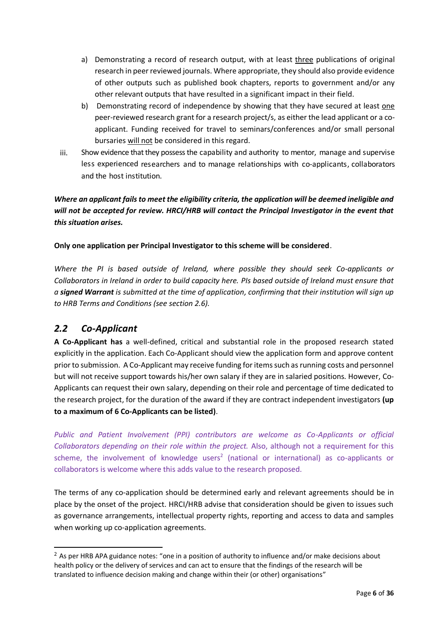- a) Demonstrating a record of research output, with at least three publications of original research in peer reviewed journals. Where appropriate, they should also provide evidence of other outputs such as published book chapters, reports to government and/or any other relevant outputs that have resulted in a significant impact in their field.
- b) Demonstrating record of independence by showing that they have secured at least one peer-reviewed research grant for a research project/s, as either the lead applicant or a coapplicant. Funding received for travel to seminars/conferences and/or small personal bursaries will not be considered in this regard.
- iii. Show evidence that they possess the capability and authority to mentor, manage and supervise less experienced researchers and to manage relationships with co-applicants, collaborators and the host institution.

*Where an applicant fails to meet the eligibility criteria, the application will be deemed ineligible and will not be accepted for review. HRCI/HRB will contact the Principal Investigator in the event that this situation arises.*

## **Only one application per Principal Investigator to this scheme will be considered**.

*Where the PI is based outside of Ireland, where possible they should seek Co-applicants or Collaborators in Ireland in order to build capacity here. PIs based outside of Ireland must ensure that a signed Warrant is submitted at the time of application, confirming that their institution will sign up to HRB Terms and Conditions (see section 2.6).* 

## <span id="page-5-0"></span>*2.2 Co-Applicant*

-

**A Co-Applicant has** a well-defined, critical and substantial role in the proposed research stated explicitly in the application. Each Co-Applicant should view the application form and approve content prior to submission. A Co-Applicant may receive funding for items such as running costs and personnel but will not receive support towards his/her own salary if they are in salaried positions. However, Co-Applicants can request their own salary, depending on their role and percentage of time dedicated to the research project, for the duration of the award if they are contract independent investigators **(up to a maximum of 6 Co-Applicants can be listed)**.

*Public and Patient Involvement (PPI) contributors are welcome as Co-Applicants or official Collaborators depending on their role within the project.* Also, although not a requirement for this scheme, the involvement of knowledge users<sup>2</sup> (national or international) as co-applicants or collaborators is welcome where this adds value to the research proposed.

The terms of any co-application should be determined early and relevant agreements should be in place by the onset of the project. HRCI/HRB advise that consideration should be given to issues such as governance arrangements, intellectual property rights, reporting and access to data and samples when working up co-application agreements.

<sup>&</sup>lt;sup>2</sup> As per HRB APA guidance notes: "one in a position of authority to influence and/or make decisions about health policy or the delivery of services and can act to ensure that the findings of the research will be translated to influence decision making and change within their (or other) organisations"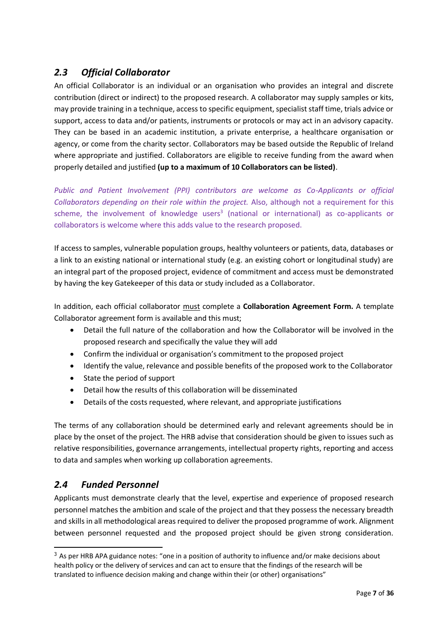## <span id="page-6-0"></span>*2.3 Official Collaborator*

An official Collaborator is an individual or an organisation who provides an integral and discrete contribution (direct or indirect) to the proposed research. A collaborator may supply samples or kits, may provide training in a technique, access to specific equipment, specialist staff time, trials advice or support, access to data and/or patients, instruments or protocols or may act in an advisory capacity. They can be based in an academic institution, a private enterprise, a healthcare organisation or agency, or come from the charity sector. Collaborators may be based outside the Republic of Ireland where appropriate and justified. Collaborators are eligible to receive funding from the award when properly detailed and justified **(up to a maximum of 10 Collaborators can be listed)**.

*Public and Patient Involvement (PPI) contributors are welcome as Co-Applicants or official Collaborators depending on their role within the project.* Also, although not a requirement for this scheme, the involvement of knowledge users<sup>3</sup> (national or international) as co-applicants or collaborators is welcome where this adds value to the research proposed.

If access to samples, vulnerable population groups, healthy volunteers or patients, data, databases or a link to an existing national or international study (e.g. an existing cohort or longitudinal study) are an integral part of the proposed project, evidence of commitment and access must be demonstrated by having the key Gatekeeper of this data or study included as a Collaborator.

In addition, each official collaborator must complete a **Collaboration Agreement Form.** A template Collaborator agreement form is available and this must;

- Detail the full nature of the collaboration and how the Collaborator will be involved in the proposed research and specifically the value they will add
- Confirm the individual or organisation's commitment to the proposed project
- Identify the value, relevance and possible benefits of the proposed work to the Collaborator
- State the period of support
- Detail how the results of this collaboration will be disseminated
- Details of the costs requested, where relevant, and appropriate justifications

The terms of any collaboration should be determined early and relevant agreements should be in place by the onset of the project. The HRB advise that consideration should be given to issues such as relative responsibilities, governance arrangements, intellectual property rights, reporting and access to data and samples when working up collaboration agreements.

## <span id="page-6-1"></span>*2.4 Funded Personnel*

-

Applicants must demonstrate clearly that the level, expertise and experience of proposed research personnel matches the ambition and scale of the project and that they possess the necessary breadth and skills in all methodological areas required to deliver the proposed programme of work. Alignment between personnel requested and the proposed project should be given strong consideration.

 $3$  As per HRB APA guidance notes: "one in a position of authority to influence and/or make decisions about health policy or the delivery of services and can act to ensure that the findings of the research will be translated to influence decision making and change within their (or other) organisations"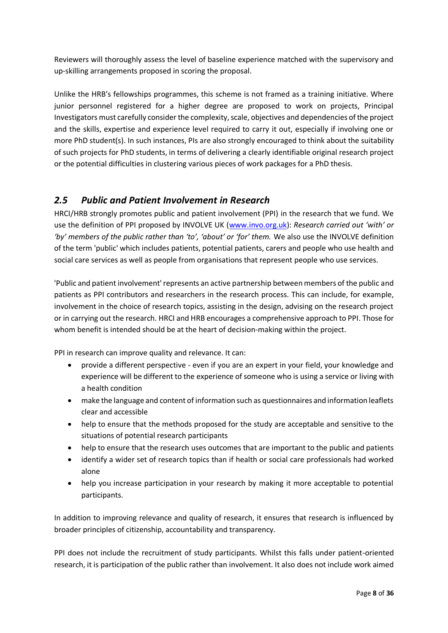Reviewers will thoroughly assess the level of baseline experience matched with the supervisory and up-skilling arrangements proposed in scoring the proposal.

Unlike the HRB's fellowships programmes, this scheme is not framed as a training initiative. Where junior personnel registered for a higher degree are proposed to work on projects, Principal Investigators must carefully consider the complexity, scale, objectives and dependencies of the project and the skills, expertise and experience level required to carry it out, especially if involving one or more PhD student(s). In such instances, PIs are also strongly encouraged to think about the suitability of such projects for PhD students, in terms of delivering a clearly identifiable original research project or the potential difficulties in clustering various pieces of work packages for a PhD thesis.

## <span id="page-7-0"></span>*2.5 Public and Patient Involvement in Research*

HRCI/HRB strongly promotes public and patient involvement (PPI) in the research that we fund. We use the definition of PPI proposed by INVOLVE UK [\(www.invo.org.uk\)](http://www.invo.org.uk/): *Research carried out 'with' or 'by' members of the public rather than 'to', 'about' or 'for' them.* We also use the INVOLVE definition of the term 'public' which includes patients, potential patients, carers and people who use health and social care services as well as people from organisations that represent people who use services.

'Public and patient involvement' represents an active partnership between members of the public and patients as PPI contributors and researchers in the research process. This can include, for example, involvement in the choice of research topics, assisting in the design, advising on the research project or in carrying out the research. HRCI and HRB encourages a comprehensive approach to PPI. Those for whom benefit is intended should be at the heart of decision-making within the project.

PPI in research can improve quality and relevance. It can:

- provide a different perspective even if you are an expert in your field, your knowledge and experience will be different to the experience of someone who is using a service or living with a health condition
- make the language and content of information such as questionnaires and information leaflets clear and accessible
- help to ensure that the methods proposed for the study are acceptable and sensitive to the situations of potential research participants
- help to ensure that the research uses outcomes that are important to the public and patients
- identify a wider set of research topics than if health or social care professionals had worked alone
- help you increase participation in your research by making it more acceptable to potential participants.

In addition to improving relevance and quality of research, it ensures that research is influenced by broader principles of citizenship, accountability and transparency.

PPI does not include the recruitment of study participants. Whilst this falls under patient-oriented research, it is participation of the public rather than involvement. It also does not include work aimed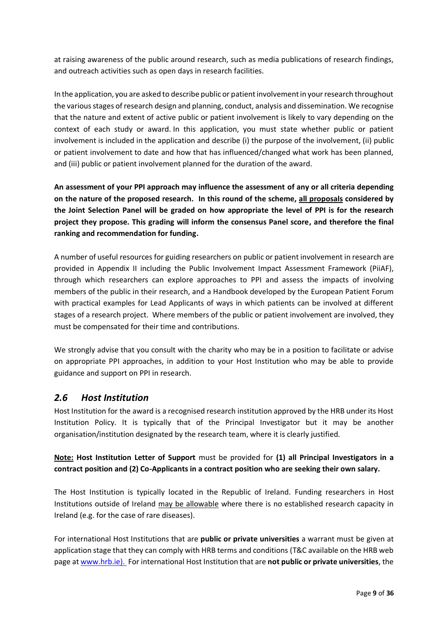at raising awareness of the public around research, such as media publications of research findings, and outreach activities such as open days in research facilities.

In the application, you are asked to describe public or patient involvement in your research throughout the various stages of research design and planning, conduct, analysis and dissemination. We recognise that the nature and extent of active public or patient involvement is likely to vary depending on the context of each study or award. In this application, you must state whether public or patient involvement is included in the application and describe (i) the purpose of the involvement, (ii) public or patient involvement to date and how that has influenced/changed what work has been planned, and (iii) public or patient involvement planned for the duration of the award.

**An assessment of your PPI approach may influence the assessment of any or all criteria depending on the nature of the proposed research. In this round of the scheme, all proposals considered by the Joint Selection Panel will be graded on how appropriate the level of PPI is for the research project they propose. This grading will inform the consensus Panel score, and therefore the final ranking and recommendation for funding.** 

A number of useful resources for guiding researchers on public or patient involvement in research are provided in Appendix II including the Public Involvement Impact Assessment Framework (PiiAF), through which researchers can explore approaches to PPI and assess the impacts of involving members of the public in their research, and a Handbook developed by the European Patient Forum with practical examples for Lead Applicants of ways in which patients can be involved at different stages of a research project. Where members of the public or patient involvement are involved, they must be compensated for their time and contributions.

We strongly advise that you consult with the charity who may be in a position to facilitate or advise on appropriate PPI approaches, in addition to your Host Institution who may be able to provide guidance and support on PPI in research.

## <span id="page-8-0"></span>*2.6 Host Institution*

Host Institution for the award is a recognised research institution approved by the HRB under its Host Institution Policy. It is typically that of the Principal Investigator but it may be another organisation/institution designated by the research team, where it is clearly justified.

## **Note: Host Institution Letter of Support** must be provided for **(1) all Principal Investigators in a contract position and (2) Co-Applicants in a contract position who are seeking their own salary.**

The Host Institution is typically located in the Republic of Ireland. Funding researchers in Host Institutions outside of Ireland may be allowable where there is no established research capacity in Ireland (e.g. for the case of rare diseases).

For international Host Institutions that are **public or private universities** a warrant must be given at application stage that they can comply with HRB terms and conditions (T&C available on the HRB web page a[t www.hrb.ie\)](http://www.hrb.ie/). For international Host Institution that are **not public or private universities**, the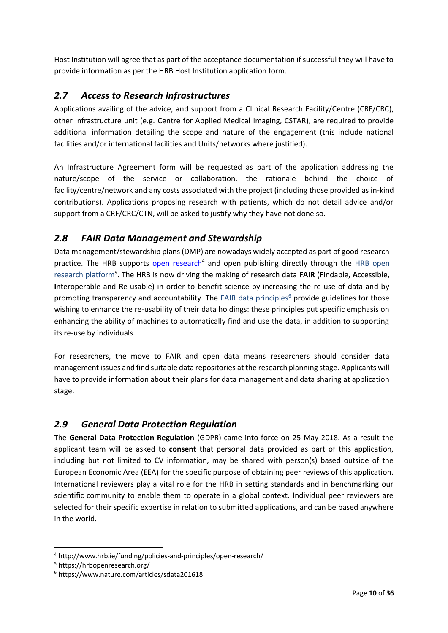Host Institution will agree that as part of the acceptance documentation if successful they will have to provide information as per the HRB Host Institution application form.

## <span id="page-9-0"></span>*2.7 Access to Research Infrastructures*

Applications availing of the advice, and support from a Clinical Research Facility/Centre (CRF/CRC), other infrastructure unit (e.g. Centre for Applied Medical Imaging, CSTAR), are required to provide additional information detailing the scope and nature of the engagement (this include national facilities and/or international facilities and Units/networks where justified).

An Infrastructure Agreement form will be requested as part of the application addressing the nature/scope of the service or collaboration, the rationale behind the choice of facility/centre/network and any costs associated with the project (including those provided as in-kind contributions). Applications proposing research with patients, which do not detail advice and/or support from a CRF/CRC/CTN, will be asked to justify why they have not done so.

## <span id="page-9-1"></span>*2.8 FAIR Data Management and Stewardship*

Data management/stewardship plans (DMP) are nowadays widely accepted as part of good research practice. The HRB supports [open research](http://www.hrb.ie/funding/funding-schemes/before-you-apply/all-grant-policies/hrb-policy-on-open-access/)<sup>4</sup> and open publishing directly through the **HRB** open [research](https://hrbopenresearch.org/) platform<sup>5</sup> . The HRB is now driving the making of research data **FAIR** (**F**indable, **A**ccessible, **I**nteroperable and **R**e-usable) in order to benefit science by increasing the re-use of data and by promoting transparency and accountability. The **FAIR data principles<sup>6</sup> provide guidelines for those** wishing to enhance the re-usability of their data holdings: these principles put specific emphasis on enhancing the ability of machines to automatically find and use the data, in addition to supporting its re-use by individuals.

For researchers, the move to FAIR and open data means researchers should consider data management issues and find suitable data repositories at the research planning stage. Applicants will have to provide information about their plans for data management and data sharing at application stage.

## <span id="page-9-2"></span>*2.9 General Data Protection Regulation*

The **General Data Protection Regulation** (GDPR) came into force on 25 May 2018. As a result the applicant team will be asked to **consent** that personal data provided as part of this application, including but not limited to CV information, may be shared with person(s) based outside of the European Economic Area (EEA) for the specific purpose of obtaining peer reviews of this application. International reviewers play a vital role for the HRB in setting standards and in benchmarking our scientific community to enable them to operate in a global context. Individual peer reviewers are selected for their specific expertise in relation to submitted applications, and can be based anywhere in the world.

-

<sup>4</sup> http://www.hrb.ie/funding/policies-and-principles/open-research/

<sup>5</sup> https://hrbopenresearch.org/

<sup>6</sup> https://www.nature.com/articles/sdata201618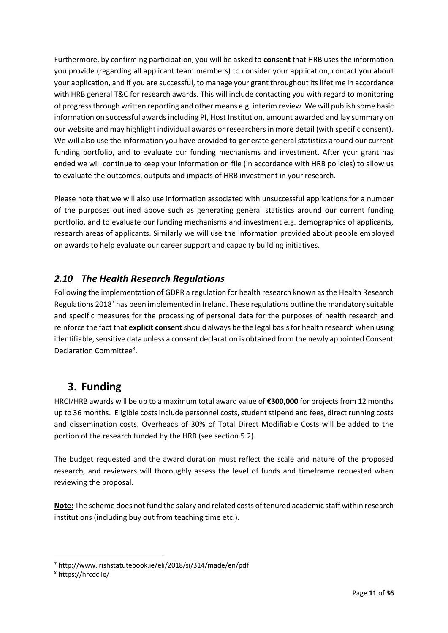Furthermore, by confirming participation, you will be asked to **consent** that HRB uses the information you provide (regarding all applicant team members) to consider your application, contact you about your application, and if you are successful, to manage your grant throughout its lifetime in accordance with HRB general T&C for research awards. This will include contacting you with regard to monitoring of progress through written reporting and other means e.g. interim review. We will publish some basic information on successful awards including PI, Host Institution, amount awarded and lay summary on our website and may highlight individual awards or researchers in more detail (with specific consent). We will also use the information you have provided to generate general statistics around our current funding portfolio, and to evaluate our funding mechanisms and investment. After your grant has ended we will continue to keep your information on file (in accordance with HRB policies) to allow us to evaluate the outcomes, outputs and impacts of HRB investment in your research.

Please note that we will also use information associated with unsuccessful applications for a number of the purposes outlined above such as generating general statistics around our current funding portfolio, and to evaluate our funding mechanisms and investment e.g. demographics of applicants, research areas of applicants. Similarly we will use the information provided about people employed on awards to help evaluate our career support and capacity building initiatives.

## <span id="page-10-0"></span>*2.10 The Health Research Regulations*

Following the implementation of GDPR a regulation for health research known as the Health Research Regulations 2018<sup>7</sup> has been implemented in Ireland. These regulations outline the mandatory suitable and specific measures for the processing of personal data for the purposes of health research and reinforce the fact that **explicit consent**should always be the legal basis for health research when using identifiable, sensitive data unless a consent declaration is obtained from the newly appointed Consent Declaration Committee<sup>8</sup>.

# <span id="page-10-1"></span>**3. Funding**

HRCI/HRB awards will be up to a maximum total award value of **€300,000** for projects from 12 months up to 36 months. Eligible costs include personnel costs, student stipend and fees, direct running costs and dissemination costs. Overheads of 30% of Total Direct Modifiable Costs will be added to the portion of the research funded by the HRB (see section 5.2).

The budget requested and the award duration must reflect the scale and nature of the proposed research, and reviewers will thoroughly assess the level of funds and timeframe requested when reviewing the proposal.

**Note:** The scheme does not fund the salary and related costs of tenured academic staff within research institutions (including buy out from teaching time etc.).

-<sup>7</sup> http://www.irishstatutebook.ie/eli/2018/si/314/made/en/pdf

<sup>8</sup> https://hrcdc.ie/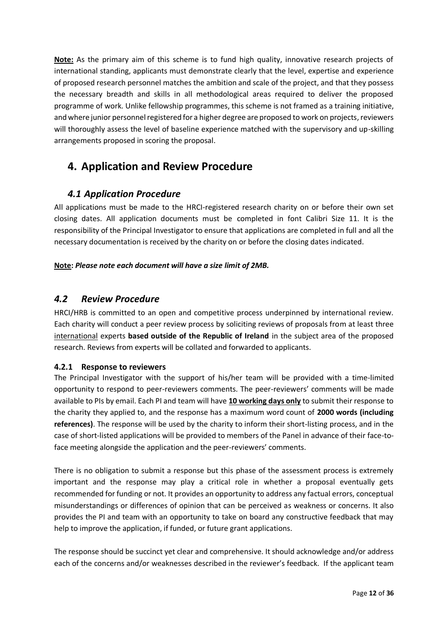**Note:** As the primary aim of this scheme is to fund high quality, innovative research projects of international standing, applicants must demonstrate clearly that the level, expertise and experience of proposed research personnel matches the ambition and scale of the project, and that they possess the necessary breadth and skills in all methodological areas required to deliver the proposed programme of work. Unlike fellowship programmes, this scheme is not framed as a training initiative, and where junior personnel registered for a higher degree are proposed to work on projects, reviewers will thoroughly assess the level of baseline experience matched with the supervisory and up-skilling arrangements proposed in scoring the proposal.

# <span id="page-11-0"></span>**4. Application and Review Procedure**

## <span id="page-11-1"></span>*4.1 Application Procedure*

All applications must be made to the HRCI-registered research charity on or before their own set closing dates. All application documents must be completed in font Calibri Size 11. It is the responsibility of the Principal Investigator to ensure that applications are completed in full and all the necessary documentation is received by the charity on or before the closing dates indicated.

## **Note:** *Please note each document will have a size limit of 2MB.*

## <span id="page-11-2"></span>*4.2 Review Procedure*

HRCI/HRB is committed to an open and competitive process underpinned by international review. Each charity will conduct a peer review process by soliciting reviews of proposals from at least three international experts **based outside of the Republic of Ireland** in the subject area of the proposed research. Reviews from experts will be collated and forwarded to applicants.

## <span id="page-11-3"></span>**4.2.1 Response to reviewers**

The Principal Investigator with the support of his/her team will be provided with a time-limited opportunity to respond to peer-reviewers comments. The peer-reviewers' comments will be made available to PIs by email. Each PI and team will have **10 working days only** to submit their response to the charity they applied to, and the response has a maximum word count of **2000 words (including references)**. The response will be used by the charity to inform their short-listing process, and in the case of short-listed applications will be provided to members of the Panel in advance of their face-toface meeting alongside the application and the peer-reviewers' comments.

There is no obligation to submit a response but this phase of the assessment process is extremely important and the response may play a critical role in whether a proposal eventually gets recommended for funding or not. It provides an opportunity to address any factual errors, conceptual misunderstandings or differences of opinion that can be perceived as weakness or concerns. It also provides the PI and team with an opportunity to take on board any constructive feedback that may help to improve the application, if funded, or future grant applications.

The response should be succinct yet clear and comprehensive. It should acknowledge and/or address each of the concerns and/or weaknesses described in the reviewer's feedback. If the applicant team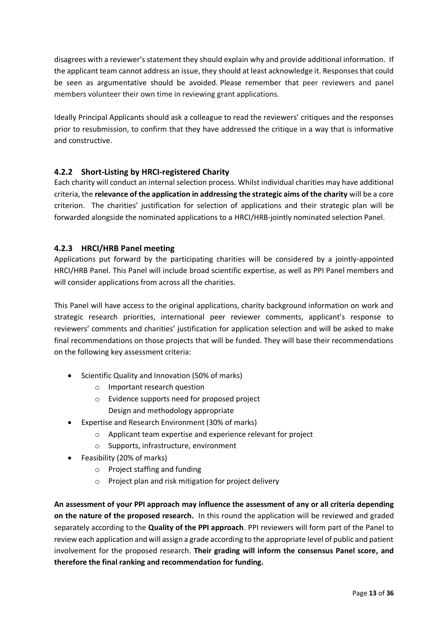disagrees with a reviewer's statement they should explain why and provide additional information. If the applicant team cannot address an issue, they should at least acknowledge it. Responses that could be seen as argumentative should be avoided. Please remember that peer reviewers and panel members volunteer their own time in reviewing grant applications.

Ideally Principal Applicants should ask a colleague to read the reviewers' critiques and the responses prior to resubmission, to confirm that they have addressed the critique in a way that is informative and constructive.

## <span id="page-12-0"></span>**4.2.2 Short-Listing by HRCI-registered Charity**

Each charity will conduct an internal selection process. Whilst individual charities may have additional criteria, the **relevance of the application in addressing the strategic aims of the charity** will be a core criterion. The charities' justification for selection of applications and their strategic plan will be forwarded alongside the nominated applications to a HRCI/HRB-jointly nominated selection Panel.

## <span id="page-12-1"></span>**4.2.3 HRCI/HRB Panel meeting**

Applications put forward by the participating charities will be considered by a jointly-appointed HRCI/HRB Panel. This Panel will include broad scientific expertise, as well as PPI Panel members and will consider applications from across all the charities.

This Panel will have access to the original applications, charity background information on work and strategic research priorities, international peer reviewer comments, applicant's response to reviewers' comments and charities' justification for application selection and will be asked to make final recommendations on those projects that will be funded. They will base their recommendations on the following key assessment criteria:

- Scientific Quality and Innovation (50% of marks)
	- o Important research question
	- o Evidence supports need for proposed project Design and methodology appropriate
- Expertise and Research Environment (30% of marks)
	- o Applicant team expertise and experience relevant for project
	- o Supports, infrastructure, environment
- Feasibility (20% of marks)
	- o Project staffing and funding
	- o Project plan and risk mitigation for project delivery

**An assessment of your PPI approach may influence the assessment of any or all criteria depending on the nature of the proposed research.** In this round the application will be reviewed and graded separately according to the **Quality of the PPI approach**. PPI reviewers will form part of the Panel to review each application and will assign a grade according to the appropriate level of public and patient involvement for the proposed research. **Their grading will inform the consensus Panel score, and therefore the final ranking and recommendation for funding.**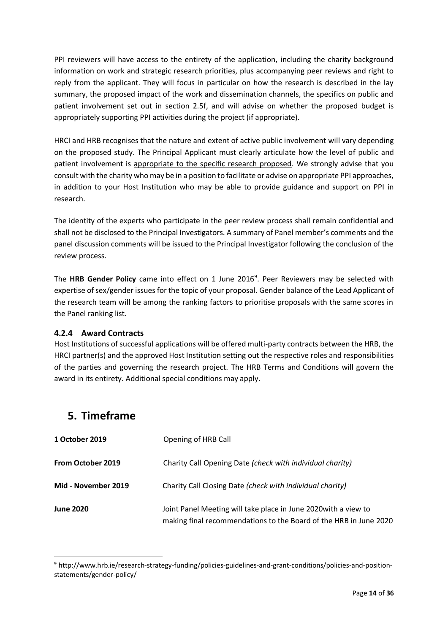PPI reviewers will have access to the entirety of the application, including the charity background information on work and strategic research priorities, plus accompanying peer reviews and right to reply from the applicant. They will focus in particular on how the research is described in the lay summary, the proposed impact of the work and dissemination channels, the specifics on public and patient involvement set out in section 2.5f, and will advise on whether the proposed budget is appropriately supporting PPI activities during the project (if appropriate).

HRCI and HRB recognises that the nature and extent of active public involvement will vary depending on the proposed study. The Principal Applicant must clearly articulate how the level of public and patient involvement is appropriate to the specific research proposed. We strongly advise that you consult with the charity who may be in a position to facilitate or advise on appropriate PPI approaches, in addition to your Host Institution who may be able to provide guidance and support on PPI in research.

The identity of the experts who participate in the peer review process shall remain confidential and shall not be disclosed to the Principal Investigators. A summary of Panel member's comments and the panel discussion comments will be issued to the Principal Investigator following the conclusion of the review process.

The HRB Gender Policy came into effect on 1 June 2016<sup>9</sup>. Peer Reviewers may be selected with expertise of sex/gender issues for the topic of your proposal. Gender balance of the Lead Applicant of the research team will be among the ranking factors to prioritise proposals with the same scores in the Panel ranking list.

## <span id="page-13-0"></span>**4.2.4 Award Contracts**

Host Institutions of successful applications will be offered multi-party contracts between the HRB, the HRCI partner(s) and the approved Host Institution setting out the respective roles and responsibilities of the parties and governing the research project. The HRB Terms and Conditions will govern the award in its entirety. Additional special conditions may apply.

# <span id="page-13-1"></span>**5. Timeframe**

-

| 1 October 2019      | Opening of HRB Call                                                                                                                  |
|---------------------|--------------------------------------------------------------------------------------------------------------------------------------|
| From October 2019   | Charity Call Opening Date (check with individual charity)                                                                            |
| Mid - November 2019 | Charity Call Closing Date (check with individual charity)                                                                            |
| <b>June 2020</b>    | Joint Panel Meeting will take place in June 2020 with a view to<br>making final recommendations to the Board of the HRB in June 2020 |

<sup>9</sup> http://www.hrb.ie/research-strategy-funding/policies-guidelines-and-grant-conditions/policies-and-positionstatements/gender-policy/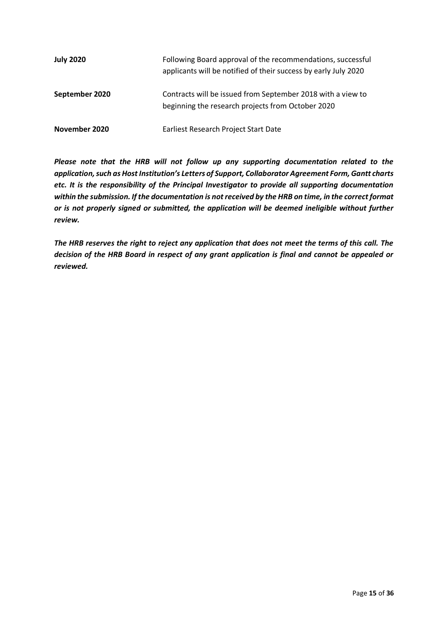| <b>July 2020</b> | Following Board approval of the recommendations, successful<br>applicants will be notified of their success by early July 2020 |
|------------------|--------------------------------------------------------------------------------------------------------------------------------|
| September 2020   | Contracts will be issued from September 2018 with a view to<br>beginning the research projects from October 2020               |
| November 2020    | Earliest Research Project Start Date                                                                                           |

*Please note that the HRB will not follow up any supporting documentation related to the application, such as Host Institution's Letters of Support, Collaborator Agreement Form, Gantt charts etc. It is the responsibility of the Principal Investigator to provide all supporting documentation within the submission. If the documentation is not received by the HRB on time, in the correct format or is not properly signed or submitted, the application will be deemed ineligible without further review.*

*The HRB reserves the right to reject any application that does not meet the terms of this call. The decision of the HRB Board in respect of any grant application is final and cannot be appealed or reviewed.*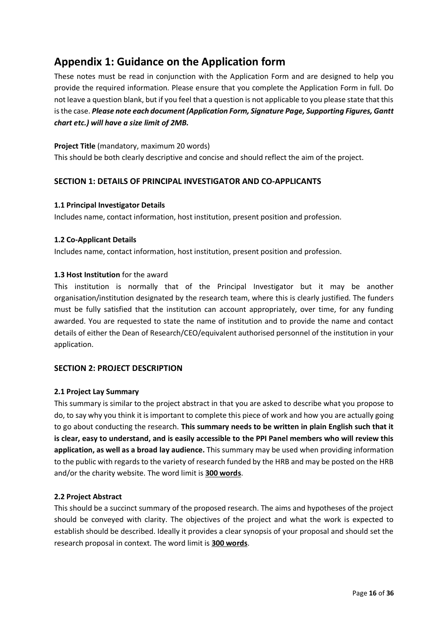# <span id="page-15-0"></span>**Appendix 1: Guidance on the Application form**

These notes must be read in conjunction with the Application Form and are designed to help you provide the required information. Please ensure that you complete the Application Form in full. Do not leave a question blank, but if you feel that a question is not applicable to you please state that this is the case. *Please note each document (Application Form, Signature Page, Supporting Figures, Gantt chart etc.) will have a size limit of 2MB.*

**Project Title** (mandatory, maximum 20 words) This should be both clearly descriptive and concise and should reflect the aim of the project.

## **SECTION 1: DETAILS OF PRINCIPAL INVESTIGATOR AND CO-APPLICANTS**

#### **1.1 Principal Investigator Details**

Includes name, contact information, host institution, present position and profession.

### **1.2 Co-Applicant Details**

Includes name, contact information, host institution, present position and profession.

### **1.3 Host Institution** for the award

This institution is normally that of the Principal Investigator but it may be another organisation/institution designated by the research team, where this is clearly justified. The funders must be fully satisfied that the institution can account appropriately, over time, for any funding awarded. You are requested to state the name of institution and to provide the name and contact details of either the Dean of Research/CEO/equivalent authorised personnel of the institution in your application.

## **SECTION 2: PROJECT DESCRIPTION**

#### **2.1 Project Lay Summary**

This summary is similar to the project abstract in that you are asked to describe what you propose to do, to say why you think it is important to complete this piece of work and how you are actually going to go about conducting the research. **This summary needs to be written in plain English such that it is clear, easy to understand, and is easily accessible to the PPI Panel members who will review this application, as well as a broad lay audience.** This summary may be used when providing information to the public with regards to the variety of research funded by the HRB and may be posted on the HRB and/or the charity website. The word limit is **300 words**.

#### **2.2 Project Abstract**

This should be a succinct summary of the proposed research. The aims and hypotheses of the project should be conveyed with clarity. The objectives of the project and what the work is expected to establish should be described. Ideally it provides a clear synopsis of your proposal and should set the research proposal in context. The word limit is **300 words**.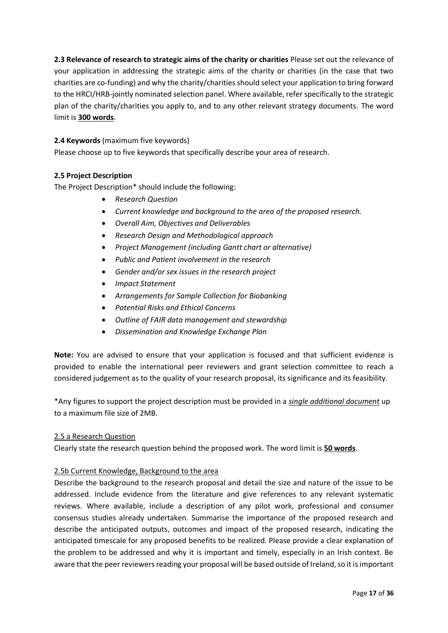**2.3 Relevance of research to strategic aims of the charity or charities** Please set out the relevance of your application in addressing the strategic aims of the charity or charities (in the case that two charities are co-funding) and why the charity/charities should select your application to bring forward to the HRCI/HRB-jointly nominated selection panel. Where available, refer specifically to the strategic plan of the charity/charities you apply to, and to any other relevant strategy documents. The word limit is **300 words**.

## **2.4 Keywords** (maximum five keywords)

Please choose up to five keywords that specifically describe your area of research.

## **2.5 Project Description**

The Project Description\* should include the following:

- *Research Question*
- *Current knowledge and background to the area of the proposed research.*
- *Overall Aim, Objectives and Deliverables*
- *Research Design and Methodological approach*
- *Project Management (including Gantt chart or alternative)*
- *Public and Patient involvement in the research*
- *Gender and/or sex issues in the research project*
- *Impact Statement*
- *Arrangements for Sample Collection for Biobanking*
- *Potential Risks and Ethical Concerns*
- *Outline of FAIR data management and stewardship*
- *Dissemination and Knowledge Exchange Plan*

**Note:** You are advised to ensure that your application is focused and that sufficient evidence is provided to enable the international peer reviewers and grant selection committee to reach a considered judgement as to the quality of your research proposal, its significance and its feasibility.

\*Any figures to support the project description must be provided in a *single additional document* up to a maximum file size of 2MB.

## 2.5 a Research Question

Clearly state the research question behind the proposed work. The word limit is **50 words**.

## 2.5b Current Knowledge, Background to the area

Describe the background to the research proposal and detail the size and nature of the issue to be addressed. Include evidence from the literature and give references to any relevant systematic reviews. Where available, include a description of any pilot work, professional and consumer consensus studies already undertaken. Summarise the importance of the proposed research and describe the anticipated outputs, outcomes and impact of the proposed research, indicating the anticipated timescale for any proposed benefits to be realized. Please provide a clear explanation of the problem to be addressed and why it is important and timely, especially in an Irish context. Be aware that the peer reviewers reading your proposal will be based outside of Ireland, so it is important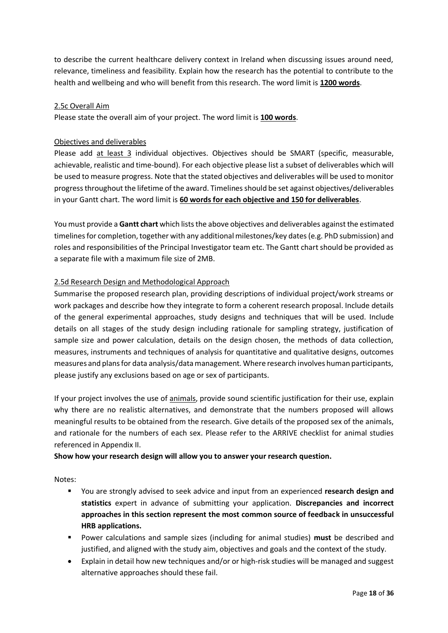to describe the current healthcare delivery context in Ireland when discussing issues around need, relevance, timeliness and feasibility. Explain how the research has the potential to contribute to the health and wellbeing and who will benefit from this research. The word limit is **1200 words**.

#### 2.5c Overall Aim

Please state the overall aim of your project. The word limit is **100 words**.

### Objectives and deliverables

Please add at least 3 individual objectives. Objectives should be SMART (specific, measurable, achievable, realistic and time-bound). For each objective please list a subset of deliverables which will be used to measure progress. Note that the stated objectives and deliverables will be used to monitor progress throughout the lifetime of the award. Timelines should be set against objectives/deliverables in your Gantt chart. The word limit is **60 words for each objective and 150 for deliverables**.

You must provide a **Gantt chart** which lists the above objectives and deliverables against the estimated timelines for completion, together with any additional milestones/key dates (e.g. PhD submission) and roles and responsibilities of the Principal Investigator team etc. The Gantt chart should be provided as a separate file with a maximum file size of 2MB.

### 2.5d Research Design and Methodological Approach

Summarise the proposed research plan, providing descriptions of individual project/work streams or work packages and describe how they integrate to form a coherent research proposal. Include details of the general experimental approaches, study designs and techniques that will be used. Include details on all stages of the study design including rationale for sampling strategy, justification of sample size and power calculation, details on the design chosen, the methods of data collection, measures, instruments and techniques of analysis for quantitative and qualitative designs, outcomes measures and plans for data analysis/data management. Where research involves human participants, please justify any exclusions based on age or sex of participants.

If your project involves the use of animals, provide sound scientific justification for their use, explain why there are no realistic alternatives, and demonstrate that the numbers proposed will allows meaningful results to be obtained from the research. Give details of the proposed sex of the animals, and rationale for the numbers of each sex. Please refer to the ARRIVE checklist for animal studies referenced in Appendix II.

#### **Show how your research design will allow you to answer your research question.**

Notes:

- You are strongly advised to seek advice and input from an experienced **research design and statistics** expert in advance of submitting your application. **Discrepancies and incorrect approaches in this section represent the most common source of feedback in unsuccessful HRB applications.**
- Power calculations and sample sizes (including for animal studies) **must** be described and justified, and aligned with the study aim, objectives and goals and the context of the study.
- Explain in detail how new techniques and/or or high-risk studies will be managed and suggest alternative approaches should these fail.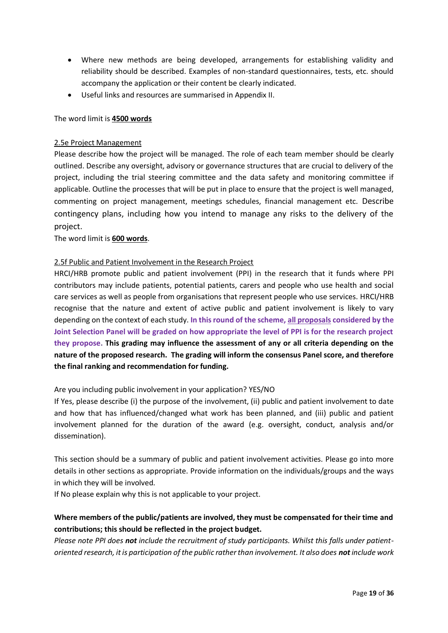- Where new methods are being developed, arrangements for establishing validity and reliability should be described. Examples of non-standard questionnaires, tests, etc. should accompany the application or their content be clearly indicated.
- Useful links and resources are summarised in Appendix II.

#### The word limit is **4500 words**

#### 2.5e Project Management

Please describe how the project will be managed. The role of each team member should be clearly outlined. Describe any oversight, advisory or governance structures that are crucial to delivery of the project, including the trial steering committee and the data safety and monitoring committee if applicable. Outline the processes that will be put in place to ensure that the project is well managed, commenting on project management, meetings schedules, financial management etc. Describe contingency plans, including how you intend to manage any risks to the delivery of the project.

#### The word limit is **600 words**.

#### 2.5f Public and Patient Involvement in the Research Project

HRCI/HRB promote public and patient involvement (PPI) in the research that it funds where PPI contributors may include patients, potential patients, carers and people who use health and social care services as well as people from organisations that represent people who use services. HRCI/HRB recognise that the nature and extent of active public and patient involvement is likely to vary depending on the context of each study. **In this round of the scheme, all proposals considered by the Joint Selection Panel will be graded on how appropriate the level of PPI is for the research project they propose. This grading may influence the assessment of any or all criteria depending on the nature of the proposed research. The grading will inform the consensus Panel score, and therefore the final ranking and recommendation for funding.** 

#### Are you including public involvement in your application? YES/NO

If Yes, please describe (i) the purpose of the involvement, (ii) public and patient involvement to date and how that has influenced/changed what work has been planned, and (iii) public and patient involvement planned for the duration of the award (e.g. oversight, conduct, analysis and/or dissemination).

This section should be a summary of public and patient involvement activities. Please go into more details in other sections as appropriate. Provide information on the individuals/groups and the ways in which they will be involved.

If No please explain why this is not applicable to your project.

## **Where members of the public/patients are involved, they must be compensated for their time and contributions; this should be reflected in the project budget.**

*Please note PPI does not include the recruitment of study participants. Whilst this falls under patientoriented research, it is participation of the public rather than involvement. It also does not include work*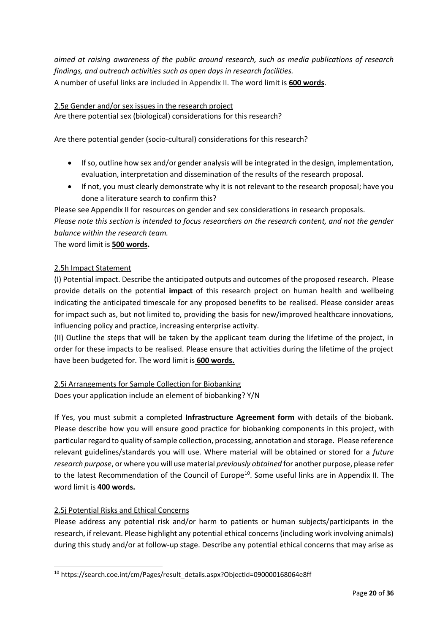*aimed at raising awareness of the public around research, such as media publications of research findings, and outreach activities such as open days in research facilities.* A number of useful links are included in Appendix II. The word limit is **600 words**.

### 2.5g Gender and/or sex issues in the research project

Are there potential sex (biological) considerations for this research?

Are there potential gender (socio-cultural) considerations for this research?

- If so, outline how sex and/or gender analysis will be integrated in the design, implementation, evaluation, interpretation and dissemination of the results of the research proposal.
- If not, you must clearly demonstrate why it is not relevant to the research proposal; have you done a literature search to confirm this?

Please see Appendix II for resources on gender and sex considerations in research proposals. *Please note this section is intended to focus researchers on the research content, and not the gender balance within the research team.* 

The word limit is **500 words.**

### 2.5h Impact Statement

(I) Potential impact. Describe the anticipated outputs and outcomes of the proposed research. Please provide details on the potential **impact** of this research project on human health and wellbeing indicating the anticipated timescale for any proposed benefits to be realised. Please consider areas for impact such as, but not limited to, providing the basis for new/improved healthcare innovations, influencing policy and practice, increasing enterprise activity.

(II) Outline the steps that will be taken by the applicant team during the lifetime of the project, in order for these impacts to be realised. Please ensure that activities during the lifetime of the project have been budgeted for. The word limit is **600 words.**

## 2.5i Arrangements for Sample Collection for Biobanking

Does your application include an element of biobanking? Y/N

If Yes, you must submit a completed **Infrastructure Agreement form** with details of the biobank. Please describe how you will ensure good practice for biobanking components in this project, with particular regard to quality of sample collection, processing, annotation and storage. Please reference relevant guidelines/standards you will use. Where material will be obtained or stored for a *future research purpose*, or where you will use material *previously obtained* for another purpose, please refer to the latest Recommendation of the Council of Europe<sup>10</sup>. Some useful links are in Appendix II. The word limit is **400 words.**

## 2.5j Potential Risks and Ethical Concerns

Please address any potential risk and/or harm to patients or human subjects/participants in the research, if relevant. Please highlight any potential ethical concerns (including work involving animals) during this study and/or at follow-up stage. Describe any potential ethical concerns that may arise as

<sup>-</sup><sup>10</sup> https://search.coe.int/cm/Pages/result\_details.aspx?ObjectId=090000168064e8ff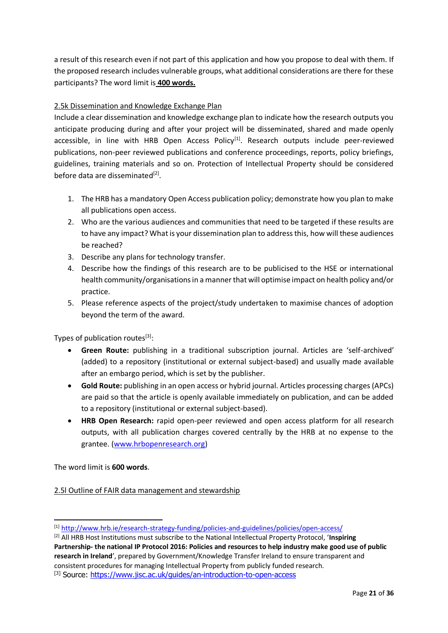a result of this research even if not part of this application and how you propose to deal with them. If the proposed research includes vulnerable groups, what additional considerations are there for these participants? The word limit is **400 words.**

## 2.5k Dissemination and Knowledge Exchange Plan

Include a clear dissemination and knowledge exchange plan to indicate how the research outputs you anticipate producing during and after your project will be disseminated, shared and made openly accessible, in line with HRB Open Access Policy<sup>[1]</sup>. Research outputs include peer-reviewed publications, non-peer reviewed publications and conference proceedings, reports, policy briefings, guidelines, training materials and so on. Protection of Intellectual Property should be considered before data are disseminated<sup>[2]</sup>.

- 1. The HRB has a mandatory Open Access publication policy; demonstrate how you plan to make all publications open access.
- 2. Who are the various audiences and communities that need to be targeted if these results are to have any impact? What is your dissemination plan to address this, how will these audiences be reached?
- 3. Describe any plans for technology transfer.
- 4. Describe how the findings of this research are to be publicised to the HSE or international health community/organisations in a manner that will optimise impact on health policy and/or practice.
- 5. Please reference aspects of the project/study undertaken to maximise chances of adoption beyond the term of the award.

Types of publication routes<sup>[3]</sup>:

- **Green Route:** publishing in a traditional subscription journal. Articles are 'self-archived' (added) to a repository (institutional or external subject-based) and usually made available after an embargo period, which is set by the publisher.
- **Gold Route:** publishing in an open access or hybrid journal. Articles processing charges (APCs) are paid so that the article is openly available immediately on publication, and can be added to a repository (institutional or external subject-based).
- **HRB Open Research:** rapid open-peer reviewed and open access platform for all research outputs, with all publication charges covered centrally by the HRB at no expense to the grantee. [\(www.hrbopenresearch.org\)](http://www.hrbopenresearch.org/)

The word limit is **600 words**.

-

2.5l Outline of FAIR data management and stewardship

<sup>[1]</sup> <http://www.hrb.ie/research-strategy-funding/policies-and-guidelines/policies/open-access/>

<sup>[2]</sup> All HRB Host Institutions must subscribe to the National Intellectual Property Protocol, '**Inspiring Partnership- the national IP Protocol 2016: Policies and resources to help industry make good use of public research in Ireland**', prepared by Government/Knowledge Transfer Ireland to ensure transparent and consistent procedures for managing Intellectual Property from publicly funded research. [3] Source:<https://www.jisc.ac.uk/guides/an-introduction-to-open-access>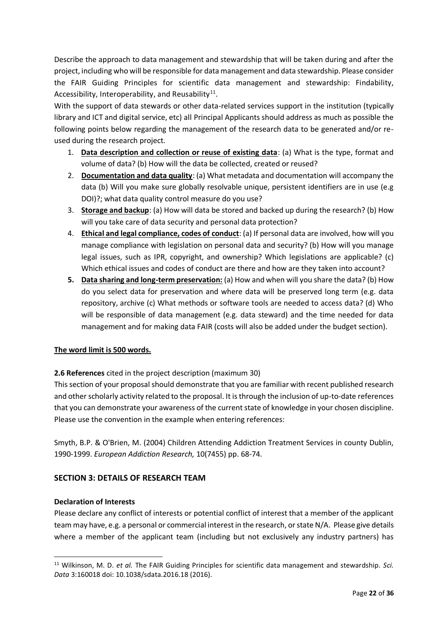Describe the approach to data management and stewardship that will be taken during and after the project, including who will be responsible for data management and data stewardship. Please consider the FAIR Guiding Principles for scientific data management and stewardship: Findability, Accessibility, Interoperability, and Reusability<sup>11</sup>.

With the support of data stewards or other data-related services support in the institution (typically library and ICT and digital service, etc) all Principal Applicants should address as much as possible the following points below regarding the management of the research data to be generated and/or reused during the research project.

- 1. **Data description and collection or reuse of existing data**: (a) What is the type, format and volume of data? (b) How will the data be collected, created or reused?
- 2. **Documentation and data quality**: (a) What metadata and documentation will accompany the data (b) Will you make sure globally resolvable unique, persistent identifiers are in use (e.g DOI)?; what data quality control measure do you use?
- 3. **Storage and backup**: (a) How will data be stored and backed up during the research? (b) How will you take care of data security and personal data protection?
- 4. **Ethical and legal compliance, codes of conduct**: (a) If personal data are involved, how will you manage compliance with legislation on personal data and security? (b) How will you manage legal issues, such as IPR, copyright, and ownership? Which legislations are applicable? (c) Which ethical issues and codes of conduct are there and how are they taken into account?
- **5. Data sharing and long-term preservation:** (a) How and when will you share the data? (b) How do you select data for preservation and where data will be preserved long term (e.g. data repository, archive (c) What methods or software tools are needed to access data? (d) Who will be responsible of data management (e.g. data steward) and the time needed for data management and for making data FAIR (costs will also be added under the budget section).

## **The word limit is 500 words.**

**2.6 References** cited in the project description (maximum 30)

This section of your proposal should demonstrate that you are familiar with recent published research and other scholarly activity related to the proposal. It is through the inclusion of up-to-date references that you can demonstrate your awareness of the current state of knowledge in your chosen discipline. Please use the convention in the example when entering references:

Smyth, B.P. & O'Brien, M. (2004) Children Attending Addiction Treatment Services in county Dublin, 1990-1999. *European Addiction Research,* 10(7455) pp. 68-74.

## **SECTION 3: DETAILS OF RESEARCH TEAM**

## **Declaration of Interests**

-

Please declare any conflict of interests or potential conflict of interest that a member of the applicant team may have, e.g. a personal or commercial interest in the research, or state N/A. Please give details where a member of the applicant team (including but not exclusively any industry partners) has

<sup>11</sup> Wilkinson, M. D. *et al.* The FAIR Guiding Principles for scientific data management and stewardship. *Sci. Data* 3:160018 doi: 10.1038/sdata.2016.18 (2016).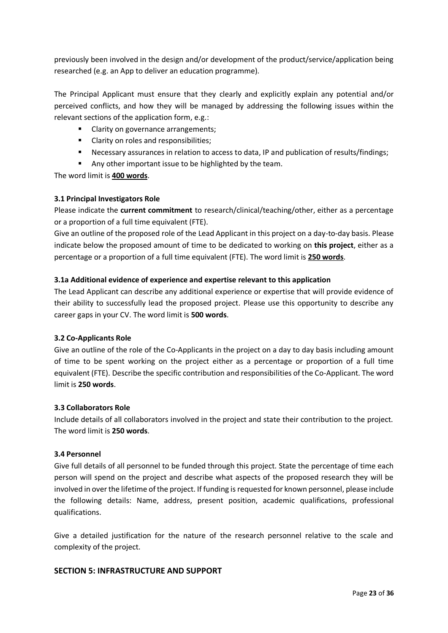previously been involved in the design and/or development of the product/service/application being researched (e.g. an App to deliver an education programme).

The Principal Applicant must ensure that they clearly and explicitly explain any potential and/or perceived conflicts, and how they will be managed by addressing the following issues within the relevant sections of the application form, e.g.:

- Clarity on governance arrangements;
- Clarity on roles and responsibilities;
- Necessary assurances in relation to access to data, IP and publication of results/findings;
- Any other important issue to be highlighted by the team.

The word limit is **400 words**.

### **3.1 Principal Investigators Role**

Please indicate the **current commitment** to research/clinical/teaching/other, either as a percentage or a proportion of a full time equivalent (FTE).

Give an outline of the proposed role of the Lead Applicant in this project on a day-to-day basis. Please indicate below the proposed amount of time to be dedicated to working on **this project**, either as a percentage or a proportion of a full time equivalent (FTE). The word limit is **250 words**.

### **3.1a Additional evidence of experience and expertise relevant to this application**

The Lead Applicant can describe any additional experience or expertise that will provide evidence of their ability to successfully lead the proposed project. Please use this opportunity to describe any career gaps in your CV. The word limit is **500 words**.

#### **3.2 Co-Applicants Role**

Give an outline of the role of the Co-Applicants in the project on a day to day basis including amount of time to be spent working on the project either as a percentage or proportion of a full time equivalent (FTE). Describe the specific contribution and responsibilities of the Co-Applicant. The word limit is **250 words**.

#### **3.3 Collaborators Role**

Include details of all collaborators involved in the project and state their contribution to the project. The word limit is **250 words**.

#### **3.4 Personnel**

Give full details of all personnel to be funded through this project. State the percentage of time each person will spend on the project and describe what aspects of the proposed research they will be involved in over the lifetime of the project. If funding is requested for known personnel, please include the following details: Name, address, present position, academic qualifications, professional qualifications.

Give a detailed justification for the nature of the research personnel relative to the scale and complexity of the project.

#### **SECTION 5: INFRASTRUCTURE AND SUPPORT**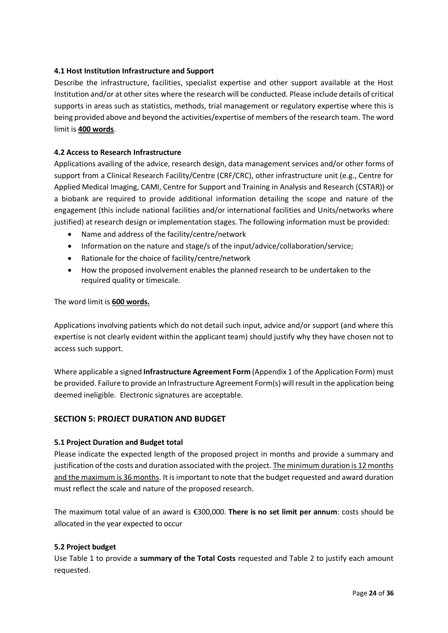### **4.1 Host Institution Infrastructure and Support**

Describe the infrastructure, facilities, specialist expertise and other support available at the Host Institution and/or at other sites where the research will be conducted. Please include details of critical supports in areas such as statistics, methods, trial management or regulatory expertise where this is being provided above and beyond the activities/expertise of members of the research team. The word limit is **400 words**.

### **4.2 Access to Research Infrastructure**

Applications availing of the advice, research design, data management services and/or other forms of support from a Clinical Research Facility/Centre (CRF/CRC), other infrastructure unit (e.g., Centre for Applied Medical Imaging, CAMI, Centre for Support and Training in Analysis and Research (CSTAR)) or a biobank are required to provide additional information detailing the scope and nature of the engagement (this include national facilities and/or international facilities and Units/networks where justified) at research design or implementation stages. The following information must be provided:

- Name and address of the facility/centre/network
- Information on the nature and stage/s of the input/advice/collaboration/service;
- Rationale for the choice of facility/centre/network
- How the proposed involvement enables the planned research to be undertaken to the required quality or timescale.

The word limit is **600 words.**

Applications involving patients which do not detail such input, advice and/or support (and where this expertise is not clearly evident within the applicant team) should justify why they have chosen not to access such support.

Where applicable a signed **Infrastructure Agreement Form** (Appendix 1 of the Application Form) must be provided. Failure to provide an Infrastructure Agreement Form(s) will result in the application being deemed ineligible. Electronic signatures are acceptable.

## **SECTION 5: PROJECT DURATION AND BUDGET**

#### **5.1 Project Duration and Budget total**

Please indicate the expected length of the proposed project in months and provide a summary and justification of the costs and duration associated with the project. The minimum duration is 12 months and the maximum is 36 months. It is important to note that the budget requested and award duration must reflect the scale and nature of the proposed research.

The maximum total value of an award is €300,000. **There is no set limit per annum**: costs should be allocated in the year expected to occur

#### **5.2 Project budget**

Use Table 1 to provide a **summary of the Total Costs** requested and Table 2 to justify each amount requested.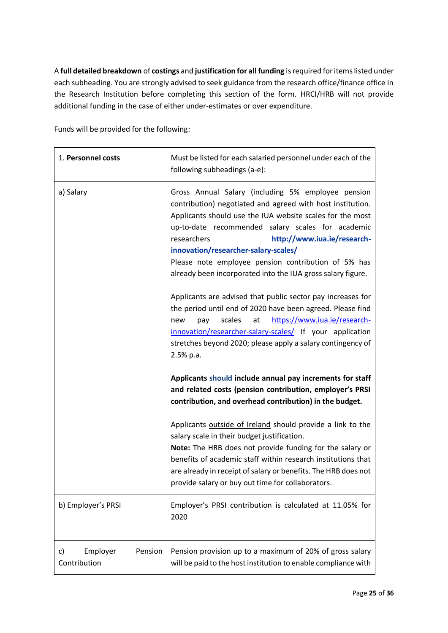A **full detailed breakdown** of **costings** and **justification for all funding** is required for items listed under each subheading. You are strongly advised to seek guidance from the research office/finance office in the Research Institution before completing this section of the form. HRCI/HRB will not provide additional funding in the case of either under-estimates or over expenditure.

Funds will be provided for the following:

| 1. Personnel costs                        | Must be listed for each salaried personnel under each of the<br>following subheadings (a-e):                                                                                                                                                                                                                                                                                                                                                   |
|-------------------------------------------|------------------------------------------------------------------------------------------------------------------------------------------------------------------------------------------------------------------------------------------------------------------------------------------------------------------------------------------------------------------------------------------------------------------------------------------------|
| a) Salary                                 | Gross Annual Salary (including 5% employee pension<br>contribution) negotiated and agreed with host institution.<br>Applicants should use the IUA website scales for the most<br>up-to-date recommended salary scales for academic<br>researchers<br>http://www.iua.ie/research-<br>innovation/researcher-salary-scales/<br>Please note employee pension contribution of 5% has<br>already been incorporated into the IUA gross salary figure. |
|                                           | Applicants are advised that public sector pay increases for<br>the period until end of 2020 have been agreed. Please find<br>scales<br>https://www.iua.ie/research-<br>at<br>pay<br>new<br>innovation/researcher-salary-scales/ If your application<br>stretches beyond 2020; please apply a salary contingency of<br>2.5% p.a.                                                                                                                |
|                                           | Applicants should include annual pay increments for staff<br>and related costs (pension contribution, employer's PRSI<br>contribution, and overhead contribution) in the budget.                                                                                                                                                                                                                                                               |
|                                           | Applicants outside of Ireland should provide a link to the<br>salary scale in their budget justification.<br>Note: The HRB does not provide funding for the salary or<br>benefits of academic staff within research institutions that<br>are already in receipt of salary or benefits. The HRB does not<br>provide salary or buy out time for collaborators.                                                                                   |
| b) Employer's PRSI                        | Employer's PRSI contribution is calculated at 11.05% for<br>2020                                                                                                                                                                                                                                                                                                                                                                               |
| Pension<br>c)<br>Employer<br>Contribution | Pension provision up to a maximum of 20% of gross salary<br>will be paid to the host institution to enable compliance with                                                                                                                                                                                                                                                                                                                     |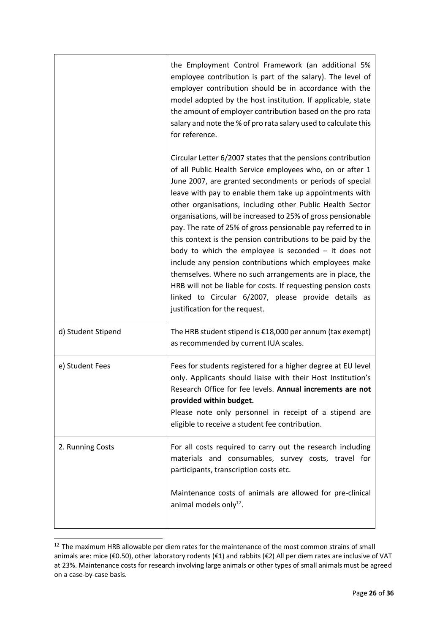|                    | the Employment Control Framework (an additional 5%<br>employee contribution is part of the salary). The level of<br>employer contribution should be in accordance with the<br>model adopted by the host institution. If applicable, state<br>the amount of employer contribution based on the pro rata<br>salary and note the % of pro rata salary used to calculate this<br>for reference.                                                                                                                                                                                                                                                                                                                                                                                                                                                             |
|--------------------|---------------------------------------------------------------------------------------------------------------------------------------------------------------------------------------------------------------------------------------------------------------------------------------------------------------------------------------------------------------------------------------------------------------------------------------------------------------------------------------------------------------------------------------------------------------------------------------------------------------------------------------------------------------------------------------------------------------------------------------------------------------------------------------------------------------------------------------------------------|
|                    | Circular Letter 6/2007 states that the pensions contribution<br>of all Public Health Service employees who, on or after 1<br>June 2007, are granted secondments or periods of special<br>leave with pay to enable them take up appointments with<br>other organisations, including other Public Health Sector<br>organisations, will be increased to 25% of gross pensionable<br>pay. The rate of 25% of gross pensionable pay referred to in<br>this context is the pension contributions to be paid by the<br>body to which the employee is seconded $-$ it does not<br>include any pension contributions which employees make<br>themselves. Where no such arrangements are in place, the<br>HRB will not be liable for costs. If requesting pension costs<br>linked to Circular 6/2007, please provide details as<br>justification for the request. |
| d) Student Stipend | The HRB student stipend is $£18,000$ per annum (tax exempt)<br>as recommended by current IUA scales.                                                                                                                                                                                                                                                                                                                                                                                                                                                                                                                                                                                                                                                                                                                                                    |
| e) Student Fees    | Fees for students registered for a higher degree at EU level<br>only. Applicants should liaise with their Host Institution's<br>Research Office for fee levels. Annual increments are not<br>provided within budget.<br>Please note only personnel in receipt of a stipend are<br>eligible to receive a student fee contribution.                                                                                                                                                                                                                                                                                                                                                                                                                                                                                                                       |
| 2. Running Costs   | For all costs required to carry out the research including<br>materials and consumables, survey costs, travel for<br>participants, transcription costs etc.                                                                                                                                                                                                                                                                                                                                                                                                                                                                                                                                                                                                                                                                                             |
|                    | Maintenance costs of animals are allowed for pre-clinical<br>animal models only $^{12}$ .                                                                                                                                                                                                                                                                                                                                                                                                                                                                                                                                                                                                                                                                                                                                                               |

 $12$  The maximum HRB allowable per diem rates for the maintenance of the most common strains of small animals are: mice (€0.50), other laboratory rodents (€1) and rabbits (€2) All per diem rates are inclusive of VAT at 23%. Maintenance costs for research involving large animals or other types of small animals must be agreed on a case-by-case basis.

-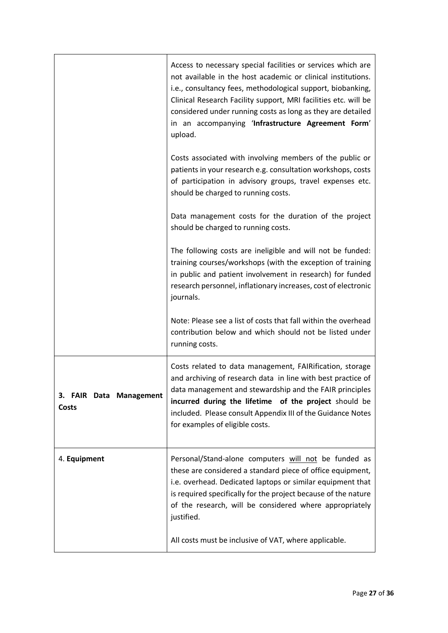|                                         | Access to necessary special facilities or services which are<br>not available in the host academic or clinical institutions.<br>i.e., consultancy fees, methodological support, biobanking,<br>Clinical Research Facility support, MRI facilities etc. will be<br>considered under running costs as long as they are detailed<br>in an accompanying 'Infrastructure Agreement Form'<br>upload. |
|-----------------------------------------|------------------------------------------------------------------------------------------------------------------------------------------------------------------------------------------------------------------------------------------------------------------------------------------------------------------------------------------------------------------------------------------------|
|                                         | Costs associated with involving members of the public or<br>patients in your research e.g. consultation workshops, costs<br>of participation in advisory groups, travel expenses etc.<br>should be charged to running costs.                                                                                                                                                                   |
|                                         | Data management costs for the duration of the project<br>should be charged to running costs.                                                                                                                                                                                                                                                                                                   |
|                                         | The following costs are ineligible and will not be funded:<br>training courses/workshops (with the exception of training<br>in public and patient involvement in research) for funded<br>research personnel, inflationary increases, cost of electronic<br>journals.                                                                                                                           |
|                                         | Note: Please see a list of costs that fall within the overhead<br>contribution below and which should not be listed under<br>running costs.                                                                                                                                                                                                                                                    |
| 3. FAIR Data Management<br><b>Costs</b> | Costs related to data management, FAIRification, storage<br>and archiving of research data in line with best practice of<br>data management and stewardship and the FAIR principles<br>incurred during the lifetime of the project should be<br>included. Please consult Appendix III of the Guidance Notes<br>for examples of eligible costs.                                                 |
| 4. Equipment                            | Personal/Stand-alone computers will not be funded as<br>these are considered a standard piece of office equipment,<br>i.e. overhead. Dedicated laptops or similar equipment that<br>is required specifically for the project because of the nature<br>of the research, will be considered where appropriately<br>justified.                                                                    |
|                                         | All costs must be inclusive of VAT, where applicable.                                                                                                                                                                                                                                                                                                                                          |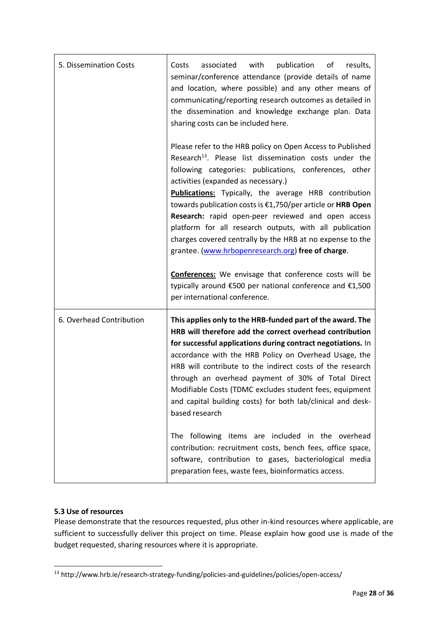| 5. Dissemination Costs   | with<br>publication<br>associated<br>of<br>results,<br>Costs<br>seminar/conference attendance (provide details of name<br>and location, where possible) and any other means of<br>communicating/reporting research outcomes as detailed in<br>the dissemination and knowledge exchange plan. Data<br>sharing costs can be included here.                                                                                                                                                                                                                                                             |
|--------------------------|------------------------------------------------------------------------------------------------------------------------------------------------------------------------------------------------------------------------------------------------------------------------------------------------------------------------------------------------------------------------------------------------------------------------------------------------------------------------------------------------------------------------------------------------------------------------------------------------------|
|                          | Please refer to the HRB policy on Open Access to Published<br>Research <sup>13</sup> . Please list dissemination costs under the<br>following categories: publications, conferences, other<br>activities (expanded as necessary.)<br><b>Publications:</b> Typically, the average HRB contribution<br>towards publication costs is €1,750/per article or HRB Open<br>Research: rapid open-peer reviewed and open access<br>platform for all research outputs, with all publication<br>charges covered centrally by the HRB at no expense to the<br>grantee. (www.hrbopenresearch.org) free of charge. |
|                          | <b>Conferences:</b> We envisage that conference costs will be<br>typically around €500 per national conference and €1,500<br>per international conference.                                                                                                                                                                                                                                                                                                                                                                                                                                           |
| 6. Overhead Contribution | This applies only to the HRB-funded part of the award. The<br>HRB will therefore add the correct overhead contribution<br>for successful applications during contract negotiations. In<br>accordance with the HRB Policy on Overhead Usage, the<br>HRB will contribute to the indirect costs of the research<br>through an overhead payment of 30% of Total Direct<br>Modifiable Costs (TDMC excludes student fees, equipment<br>and capital building costs) for both lab/clinical and desk-<br>based research                                                                                       |
|                          | The following items are included in the overhead<br>contribution: recruitment costs, bench fees, office space,<br>software, contribution to gases, bacteriological media<br>preparation fees, waste fees, bioinformatics access.                                                                                                                                                                                                                                                                                                                                                                     |

## **5.3 Use of resources**

Please demonstrate that the resources requested, plus other in-kind resources where applicable, are sufficient to successfully deliver this project on time. Please explain how good use is made of the budget requested, sharing resources where it is appropriate.

<sup>-</sup><sup>13</sup> http://www.hrb.ie/research-strategy-funding/policies-and-guidelines/policies/open-access/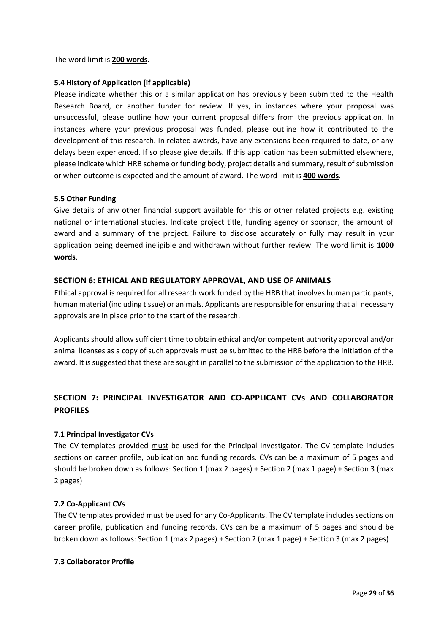#### The word limit is **200 words**.

#### **5.4 History of Application (if applicable)**

Please indicate whether this or a similar application has previously been submitted to the Health Research Board, or another funder for review. If yes, in instances where your proposal was unsuccessful, please outline how your current proposal differs from the previous application. In instances where your previous proposal was funded, please outline how it contributed to the development of this research. In related awards, have any extensions been required to date, or any delays been experienced. If so please give details. If this application has been submitted elsewhere, please indicate which HRB scheme or funding body, project details and summary, result of submission or when outcome is expected and the amount of award. The word limit is **400 words**.

#### **5.5 Other Funding**

Give details of any other financial support available for this or other related projects e.g. existing national or international studies. Indicate project title, funding agency or sponsor, the amount of award and a summary of the project. Failure to disclose accurately or fully may result in your application being deemed ineligible and withdrawn without further review. The word limit is **1000 words**.

### **SECTION 6: ETHICAL AND REGULATORY APPROVAL, AND USE OF ANIMALS**

Ethical approval is required for all research work funded by the HRB that involves human participants, human material (including tissue) or animals. Applicants are responsible for ensuring that all necessary approvals are in place prior to the start of the research.

Applicants should allow sufficient time to obtain ethical and/or competent authority approval and/or animal licenses as a copy of such approvals must be submitted to the HRB before the initiation of the award. It is suggested that these are sought in parallel to the submission of the application to the HRB.

## **SECTION 7: PRINCIPAL INVESTIGATOR AND CO-APPLICANT CVs AND COLLABORATOR PROFILES**

#### **7.1 Principal Investigator CVs**

The CV templates provided must be used for the Principal Investigator. The CV template includes sections on career profile, publication and funding records. CVs can be a maximum of 5 pages and should be broken down as follows: Section 1 (max 2 pages) + Section 2 (max 1 page) + Section 3 (max 2 pages)

#### **7.2 Co-Applicant CVs**

The CV templates provided must be used for any Co-Applicants. The CV template includes sections on career profile, publication and funding records. CVs can be a maximum of 5 pages and should be broken down as follows: Section 1 (max 2 pages) + Section 2 (max 1 page) + Section 3 (max 2 pages)

#### **7.3 Collaborator Profile**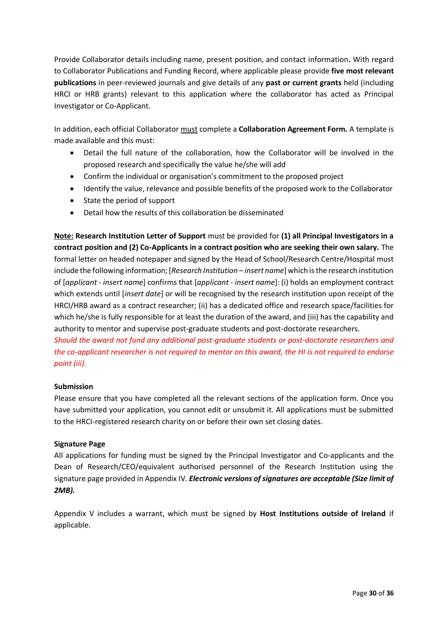Provide Collaborator details including name, present position, and contact information**.** With regard to Collaborator Publications and Funding Record, where applicable please provide **five most relevant publications** in peer-reviewed journals and give details of any **past or current grants** held (including HRCI or HRB grants) relevant to this application where the collaborator has acted as Principal Investigator or Co-Applicant.

In addition, each official Collaborator must complete a **Collaboration Agreement Form.** A template is made available and this must:

- Detail the full nature of the collaboration, how the Collaborator will be involved in the proposed research and specifically the value he/she will add
- Confirm the individual or organisation's commitment to the proposed project
- Identify the value, relevance and possible benefits of the proposed work to the Collaborator
- State the period of support
- Detail how the results of this collaboration be disseminated

**Note: Research Institution Letter of Support** must be provided for **(1) all Principal Investigators in a contract position and (2) Co-Applicants in a contract position who are seeking their own salary.** The formal letter on headed notepaper and signed by the Head of School/Research Centre/Hospital must include the following information; [*Research Institution – insert name*] which is the research institution of [*applicant - insert name*] confirms that [*applicant - insert name*]: (i) holds an employment contract which extends until [*insert date*] or will be recognised by the research institution upon receipt of the HRCI/HRB award as a contract researcher; (ii) has a dedicated office and research space/facilities for which he/she is fully responsible for at least the duration of the award, and (iii) has the capability and authority to mentor and supervise post-graduate students and post-doctorate researchers.

*Should the award not fund any additional post-graduate students or post-doctorate researchers and the co-applicant researcher is not required to mentor on this award, the HI is not required to endorse point (iii).*

## **Submission**

Please ensure that you have completed all the relevant sections of the application form. Once you have submitted your application, you cannot edit or unsubmit it. All applications must be submitted to the HRCI-registered research charity on or before their own set closing dates.

## **Signature Page**

All applications for funding must be signed by the Principal Investigator and Co-applicants and the Dean of Research/CEO/equivalent authorised personnel of the Research Institution using the signature page provided in Appendix IV. *Electronic versions of signatures are acceptable (Size limit of 2MB).*

Appendix V includes a warrant, which must be signed by **Host Institutions outside of Ireland** if applicable.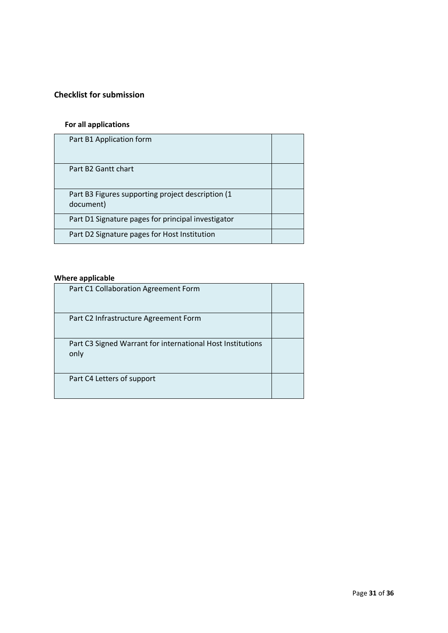## **Checklist for submission**

# **For all applications**

| Part B1 Application form                                        |  |
|-----------------------------------------------------------------|--|
| Part B2 Gantt chart                                             |  |
| Part B3 Figures supporting project description (1)<br>document) |  |
| Part D1 Signature pages for principal investigator              |  |
| Part D2 Signature pages for Host Institution                    |  |

## **Where applicable**

| Part C1 Collaboration Agreement Form                               |  |
|--------------------------------------------------------------------|--|
| Part C2 Infrastructure Agreement Form                              |  |
| Part C3 Signed Warrant for international Host Institutions<br>only |  |
| Part C4 Letters of support                                         |  |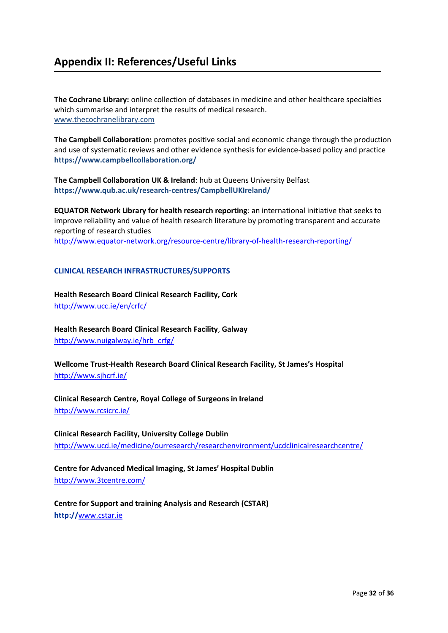# <span id="page-31-0"></span>**Appendix II: References/Useful Links**

**The Cochrane Library:** online collection of databases in medicine and other healthcare specialties which summarise and interpret the results of medical research. [www.thecochranelibrary.com](http://www.thecochranelibrary.com/)

**The Campbell Collaboration:** promotes positive social and economic change through the production and use of systematic reviews and other evidence synthesis for evidence-based policy and practice **https://www.campbellcollaboration.org/** 

**The Campbell Collaboration UK & Ireland**: hub at Queens University Belfast **https://www.qub.ac.uk/research-centres/CampbellUKIreland/**

**EQUATOR Network Library for health research reporting**: an international initiative that seeks to improve reliability and value of health research literature by promoting transparent and accurate reporting of research studies <http://www.equator-network.org/resource-centre/library-of-health-research-reporting/>

#### **CLINICAL RESEARCH INFRASTRUCTURES/SUPPORTS**

**Health Research Board Clinical Research Facility, Cork**  <http://www.ucc.ie/en/crfc/>

**Health Research Board Clinical Research Facility**, **Galway** [http://www.nuigalway.ie/hrb\\_crfg/](http://www.nuigalway.ie/hrb_crfg/)

**Wellcome Trust-Health Research Board Clinical Research Facility, St James's Hospital**  <http://www.sjhcrf.ie/>

**Clinical Research Centre, Royal College of Surgeons in Ireland**  http://www.rcsicrc.ie/

**Clinical Research Facility, University College Dublin** <http://www.ucd.ie/medicine/ourresearch/researchenvironment/ucdclinicalresearchcentre/>

**Centre for Advanced Medical Imaging, St James' Hospital Dublin**  <http://www.3tcentre.com/>

**Centre for Support and training Analysis and Research (CSTAR) http://**www.cstar.ie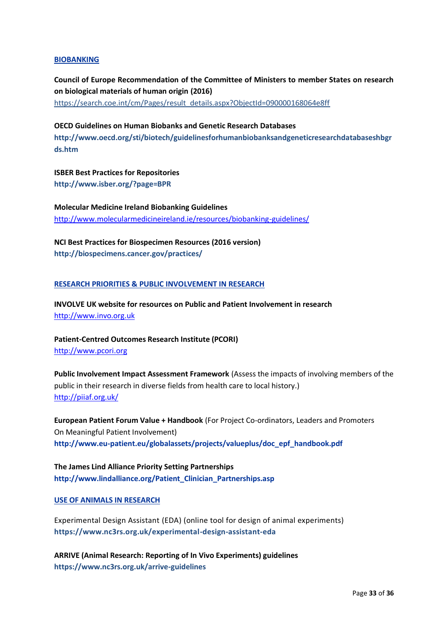#### **BIOBANKING**

**Council of Europe Recommendation of the Committee of Ministers to member States on research on biological materials of human origin (2016)** [https://search.coe.int/cm/Pages/result\\_details.aspx?ObjectId=090000168064e8ff](https://search.coe.int/cm/Pages/result_details.aspx?ObjectId=090000168064e8ff)

**OECD Guidelines on Human Biobanks and Genetic Research Databases http://www.oecd.org/sti/biotech/guidelinesforhumanbiobanksandgeneticresearchdatabaseshbgr ds.htm**

**ISBER Best Practices for Repositories http://www.isber.org/?page=BPR**

**Molecular Medicine Ireland Biobanking Guidelines** <http://www.molecularmedicineireland.ie/resources/biobanking-guidelines/>

**NCI Best Practices for Biospecimen Resources (2016 version) http://biospecimens.cancer.gov/practices/**

#### **RESEARCH PRIORITIES & PUBLIC INVOLVEMENT IN RESEARCH**

**INVOLVE UK website for resources on Public and Patient Involvement in research**  http://www.invo.org.uk

**Patient-Centred Outcomes Research Institute (PCORI)** [http://www.pcori.org](http://www.pcori.org/)

**Public Involvement Impact Assessment Framework** (Assess the impacts of involving members of the public in their research in diverse fields from health care to local history.) <http://piiaf.org.uk/>

**European Patient Forum Value + Handbook** (For Project Co-ordinators, Leaders and Promoters On Meaningful Patient Involvement) **http://www.eu-patient.eu/globalassets/projects/valueplus/doc\_epf\_handbook.pdf**

**The James Lind Alliance Priority Setting Partnerships http://www.lindalliance.org/Patient\_Clinician\_Partnerships.asp**

#### **USE OF ANIMALS IN RESEARCH**

Experimental Design Assistant (EDA) (online tool for design of animal experiments) **https://www.nc3rs.org.uk/experimental-design-assistant-eda**

**ARRIVE (Animal Research: Reporting of In Vivo Experiments) guidelines https://www.nc3rs.org.uk/arrive-guidelines**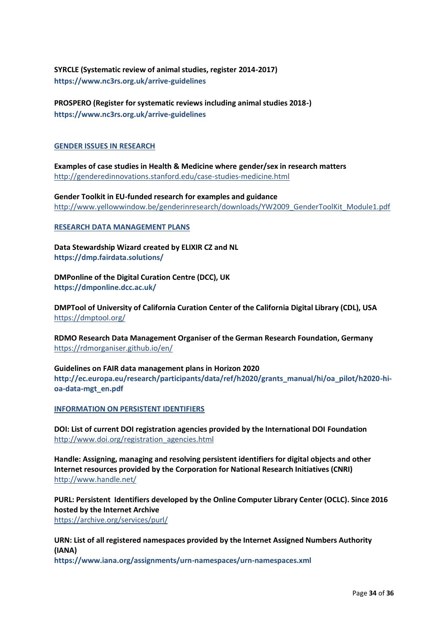## **SYRCLE (Systematic review of animal studies, register 2014-2017) https://www.nc3rs.org.uk/arrive-guidelines**

**PROSPERO (Register for systematic reviews including animal studies 2018-) https://www.nc3rs.org.uk/arrive-guidelines**

#### **GENDER ISSUES IN RESEARCH**

**Examples of case studies in Health & Medicine where gender/sex in research matters** <http://genderedinnovations.stanford.edu/case-studies-medicine.html>

**Gender Toolkit in EU-funded research for examples and guidance** [http://www.yellowwindow.be/genderinresearch/downloads/YW2009\\_GenderToolKit\\_Module1.pdf](http://www.yellowwindow.be/genderinresearch/downloads/YW2009_GenderToolKit_Module1.pdf)

#### **RESEARCH DATA MANAGEMENT PLANS**

**Data Stewardship Wizard created by ELIXIR CZ and NL https://dmp.fairdata.solutions/**

**DMPonline of the Digital Curation Centre (DCC), UK https://dmponline.dcc.ac.uk/**

**DMPTool of University of California Curation Center of the California Digital Library (CDL), USA** <https://dmptool.org/>

**RDMO Research Data Management Organiser of the German Research Foundation, Germany** <https://rdmorganiser.github.io/en/>

**Guidelines on FAIR data management plans in Horizon 2020 http://ec.europa.eu/research/participants/data/ref/h2020/grants\_manual/hi/oa\_pilot/h2020-hioa-data-mgt\_en.pdf** 

**INFORMATION ON PERSISTENT IDENTIFIERS**

**DOI: List of current DOI registration agencies provided by the International DOI Foundation** [http://www.doi.org/registration\\_agencies.html](http://www.doi.org/registration_agencies.html)

**Handle: Assigning, managing and resolving persistent identifiers for digital objects and other Internet resources provided by the Corporation for National Research Initiatives (CNRI)** <http://www.handle.net/>

**PURL: Persistent Identifiers developed by the Online Computer Library Center (OCLC). Since 2016 hosted by the Internet Archive** <https://archive.org/services/purl/>

**URN: List of all registered namespaces provided by the Internet Assigned Numbers Authority (IANA)**

**https://www.iana.org/assignments/urn-namespaces/urn-namespaces.xml**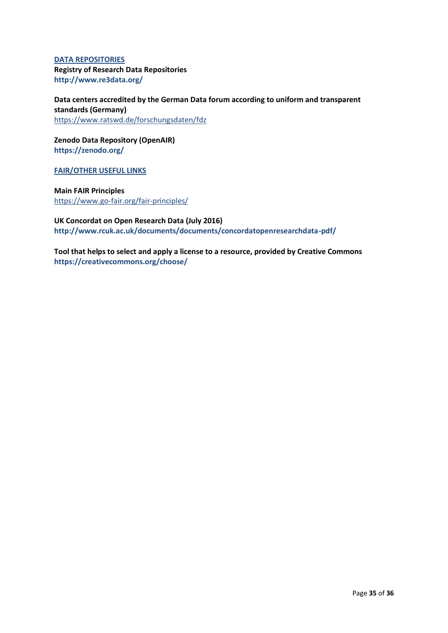### **DATA REPOSITORIES Registry of Research Data Repositories http://www.re3data.org/**

**Data centers accredited by the German Data forum according to uniform and transparent standards (Germany)** <https://www.ratswd.de/forschungsdaten/fdz>

**Zenodo Data Repository (OpenAIR) https://zenodo.org/**

**FAIR/OTHER USEFUL LINKS**

**Main FAIR Principles** <https://www.go-fair.org/fair-principles/>

**UK Concordat on Open Research Data (July 2016) http://www.rcuk.ac.uk/documents/documents/concordatopenresearchdata-pdf/**

**Tool that helps to select and apply a license to a resource, provided by Creative Commons https://creativecommons.org/choose/**